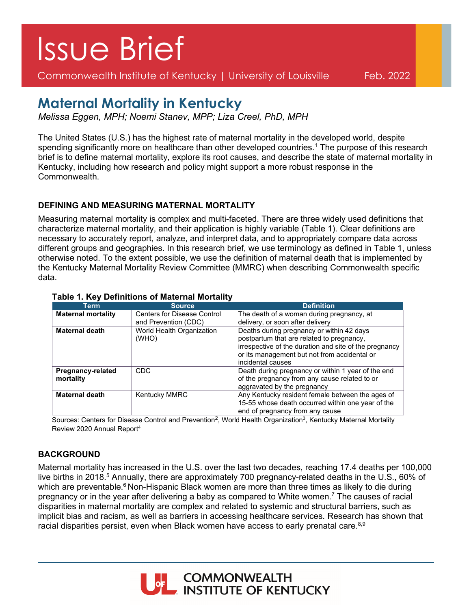# Issue Brief

Commonwealth Institute of Kentucky | University of Louisville Feb. 2022

# **Maternal Mortality in Kentucky**

*Melissa Eggen, MPH; Noemi Stanev, MPP; Liza Creel, PhD, MPH*

The United States (U.S.) has the highest rate of maternal mortality in the developed world, despite spending significantly more on healthcare than other developed countries.<sup>1</sup> The purpose of this research brief is to define maternal mortality, explore its root causes, and describe the state of maternal mortality in Kentucky, including how research and policy might support a more robust response in the Commonwealth.

## **DEFINING AND MEASURING MATERNAL MORTALITY**

Measuring maternal mortality is complex and multi-faceted. There are three widely used definitions that characterize maternal mortality, and their application is highly variable (Table 1). Clear definitions are necessary to accurately report, analyze, and interpret data, and to appropriately compare data across different groups and geographies. In this research brief, we use terminology as defined in Table 1, unless otherwise noted. To the extent possible, we use the definition of maternal death that is implemented by the Kentucky Maternal Mortality Review Committee (MMRC) when describing Commonwealth specific data.

| Term                                  | <b>Source</b>                      | <b>Definition</b>                                                                                                                                                                                                     |
|---------------------------------------|------------------------------------|-----------------------------------------------------------------------------------------------------------------------------------------------------------------------------------------------------------------------|
| <b>Maternal mortality</b>             | <b>Centers for Disease Control</b> | The death of a woman during pregnancy, at                                                                                                                                                                             |
|                                       | and Prevention (CDC)               | delivery, or soon after delivery                                                                                                                                                                                      |
| <b>Maternal death</b>                 | World Health Organization<br>(WHO) | Deaths during pregnancy or within 42 days<br>postpartum that are related to pregnancy,<br>irrespective of the duration and site of the pregnancy<br>or its management but not from accidental or<br>incidental causes |
| <b>Pregnancy-related</b><br>mortality | CDC                                | Death during pregnancy or within 1 year of the end<br>of the pregnancy from any cause related to or<br>aggravated by the pregnancy                                                                                    |
| <b>Maternal death</b>                 | Kentucky MMRC                      | Any Kentucky resident female between the ages of<br>15-55 whose death occurred within one year of the<br>end of pregnancy from any cause                                                                              |

### **Table 1. Key Definitions of Maternal Mortality**

Sources: Centers for Disease Control and Prevention<sup>2</sup>, World Health Organization<sup>3</sup>, Kentucky Maternal Mortality Review 2020 Annual Report4

# **BACKGROUND**

Maternal mortality has increased in the U.S. over the last two decades, reaching 17.4 deaths per 100,000 live births in 2018.<sup>5</sup> Annually, there are approximately 700 pregnancy-related deaths in the U.S., 60% of which are preventable.<sup>6</sup> Non-Hispanic Black women are more than three times as likely to die during pregnancy or in the year after delivering a baby as compared to White women.<sup>7</sup> The causes of racial disparities in maternal mortality are complex and related to systemic and structural barriers, such as implicit bias and racism, as well as barriers in accessing healthcare services. Research has shown that racial disparities persist, even when Black women have access to early prenatal care. $8,9$ 

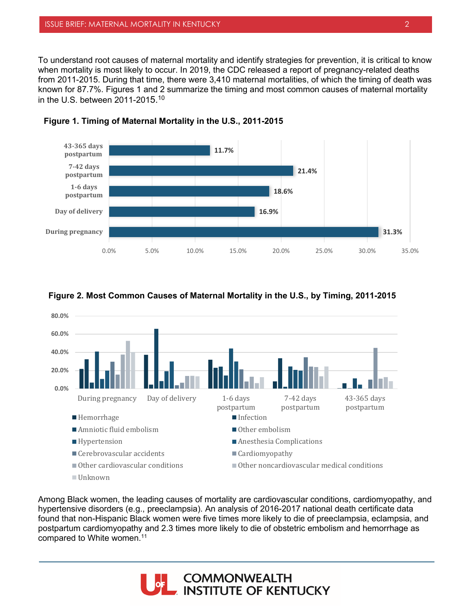To understand root causes of maternal mortality and identify strategies for prevention, it is critical to know when mortality is most likely to occur. In 2019, the CDC released a report of pregnancy-related deaths from 2011-2015. During that time, there were 3,410 maternal mortalities, of which the timing of death was known for 87.7%. Figures 1 and 2 summarize the timing and most common causes of maternal mortality in the U.S. between 2011-2015.10







#### **Figure 2. Most Common Causes of Maternal Mortality in the U.S., by Timing, 2011-2015**

Among Black women, the leading causes of mortality are cardiovascular conditions, cardiomyopathy, and hypertensive disorders (e.g., preeclampsia). An analysis of 2016-2017 national death certificate data found that non-Hispanic Black women were five times more likely to die of preeclampsia, eclampsia, and postpartum cardiomyopathy and 2.3 times more likely to die of obstetric embolism and hemorrhage as compared to White women.<sup>11</sup>

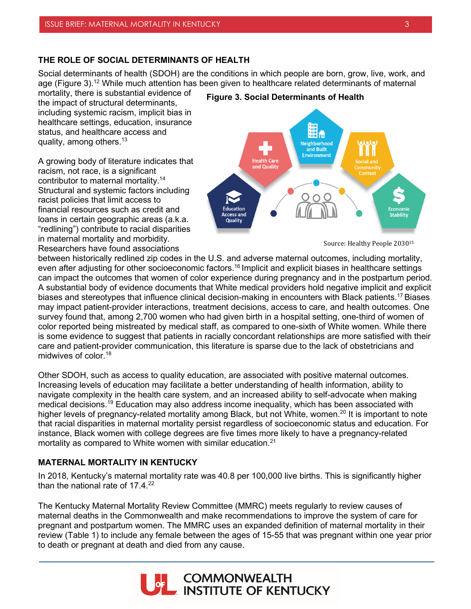#### **THE ROLE OF SOCIAL DETERMINANTS OF HEALTH**

Social determinants of health (SDOH) are the conditions in which people are born, grow, live, work, and age (Figure 3).<sup>12</sup> While much attention has been given to healthcare related determinants of maternal

mortality, there is substantial evidence of the impact of structural determinants, including systemic racism, implicit bias in healthcare settings, education, insurance status, and healthcare access and quality, among others.<sup>13</sup>

A growing body of literature indicates that racism, not race, is a significant contributor to maternal mortality.14 Structural and systemic factors including racist policies that limit access to financial resources such as credit and loans in certain geographic areas (a.k.a. "redlining") contribute to racial disparities in maternal mortality and morbidity. Researchers have found associations





Source: Healthy People 203015

between historically redlined zip codes in the U.S. and adverse maternal outcomes, including mortality, even after adjusting for other socioeconomic factors.<sup>16</sup> Implicit and explicit biases in healthcare settings can impact the outcomes that women of color experience during pregnancy and in the postpartum period. A substantial body of evidence documents that White medical providers hold negative implicit and explicit biases and stereotypes that influence clinical decision-making in encounters with Black patients.17 Biases may impact patient-provider interactions, treatment decisions, access to care, and health outcomes. One survey found that, among 2,700 women who had given birth in a hospital setting, one-third of women of color reported being mistreated by medical staff, as compared to one-sixth of White women. While there is some evidence to suggest that patients in racially concordant relationships are more satisfied with their care and patient-provider communication, this literature is sparse due to the lack of obstetricians and midwives of color.18

Other SDOH, such as access to quality education, are associated with positive maternal outcomes. Increasing levels of education may facilitate a better understanding of health information, ability to navigate complexity in the health care system, and an increased ability to self-advocate when making medical decisions.19 Education may also address income inequality, which has been associated with higher levels of pregnancy-related mortality among Black, but not White, women.<sup>20</sup> It is important to note that racial disparities in maternal mortality persist regardless of socioeconomic status and education. For instance, Black women with college degrees are five times more likely to have a pregnancy-related mortality as compared to White women with similar education.<sup>21</sup>

#### **MATERNAL MORTALITY IN KENTUCKY**

In 2018, Kentucky's maternal mortality rate was 40.8 per 100,000 live births. This is significantly higher than the national rate of  $17.4<sup>22</sup>$ 

The Kentucky Maternal Mortality Review Committee (MMRC) meets regularly to review causes of maternal deaths in the Commonwealth and make recommendations to improve the system of care for pregnant and postpartum women. The MMRC uses an expanded definition of maternal mortality in their review (Table 1) to include any female between the ages of 15-55 that was pregnant within one year prior to death or pregnant at death and died from any cause.

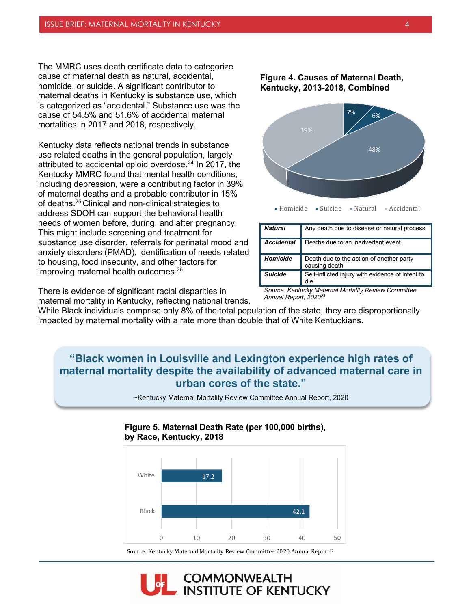The MMRC uses death certificate data to categorize cause of maternal death as natural, accidental, homicide, or suicide. A significant contributor to maternal deaths in Kentucky is substance use, which is categorized as "accidental." Substance use was the cause of 54.5% and 51.6% of accidental maternal mortalities in 2017 and 2018, respectively.

Kentucky data reflects national trends in substance use related deaths in the general population, largely attributed to accidental opioid overdose.<sup>24</sup> In 2017, the Kentucky MMRC found that mental health conditions, including depression, were a contributing factor in 39% of maternal deaths and a probable contributor in 15% of deaths. 25 Clinical and non-clinical strategies to address SDOH can support the behavioral health needs of women before, during, and after pregnancy. This might include screening and treatment for substance use disorder, referrals for perinatal mood and anxiety disorders (PMAD), identification of needs related to housing, food insecurity, and other factors for improving maternal health outcomes.<sup>26</sup>

There is evidence of significant racial disparities in maternal mortality in Kentucky, reflecting national trends. **Figure 4. Causes of Maternal Death, Kentucky, 2013-2018, Combined**



Homicide Suicide Natural Accidental

| Any death due to disease or natural process               |
|-----------------------------------------------------------|
| Deaths due to an inadvertent event                        |
| Death due to the action of another party<br>causing death |
| Self-inflicted injury with evidence of intent to<br>die   |
|                                                           |

*Source: Kentucky Maternal Mortality Review Committee Annual Report, 202023*

While Black individuals comprise only 8% of the total population of the state, they are disproportionally impacted by maternal mortality with a rate more than double that of White Kentuckians.

# **"Black women in Louisville and Lexington experience high rates of maternal mortality despite the availability of advanced maternal care in urban cores of the state."**



~Kentucky Maternal Mortality Review Committee Annual Report, 2020

# Source: Kentucky Maternal Mortality Review Committee 2020 Annual Report<sup>27</sup>

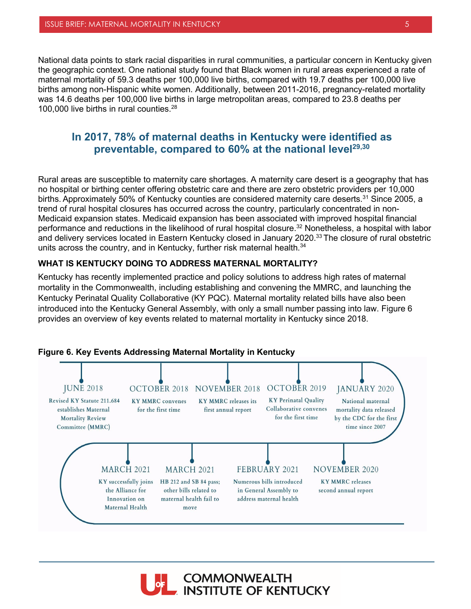National data points to stark racial disparities in rural communities, a particular concern in Kentucky given the geographic context. One national study found that Black women in rural areas experienced a rate of maternal mortality of 59.3 deaths per 100,000 live births, compared with 19.7 deaths per 100,000 live births among non-Hispanic white women. Additionally, between 2011-2016, pregnancy-related mortality was 14.6 deaths per 100,000 live births in large metropolitan areas, compared to 23.8 deaths per 100,000 live births in rural counties.<sup>28</sup>

# **In 2017, 78% of maternal deaths in Kentucky were identified as preventable, compared to 60% at the national level29,30**

Rural areas are susceptible to maternity care shortages. A maternity care desert is a geography that has no hospital or birthing center offering obstetric care and there are zero obstetric providers per 10,000 births. Approximately 50% of Kentucky counties are considered maternity care deserts.<sup>31</sup> Since 2005, a trend of rural hospital closures has occurred across the country, particularly concentrated in non-Medicaid expansion states. Medicaid expansion has been associated with improved hospital financial performance and reductions in the likelihood of rural hospital closure.<sup>32</sup> Nonetheless, a hospital with labor and delivery services located in Eastern Kentucky closed in January 2020.<sup>33</sup> The closure of rural obstetric units across the country, and in Kentucky, further risk maternal health. $34$ 

#### **WHAT IS KENTUCKY DOING TO ADDRESS MATERNAL MORTALITY?**

Kentucky has recently implemented practice and policy solutions to address high rates of maternal mortality in the Commonwealth, including establishing and convening the MMRC, and launching the Kentucky Perinatal Quality Collaborative (KY PQC). Maternal mortality related bills have also been introduced into the Kentucky General Assembly, with only a small number passing into law. Figure 6 provides an overview of key events related to maternal mortality in Kentucky since 2018.



#### **Figure 6. Key Events Addressing Maternal Mortality in Kentucky**

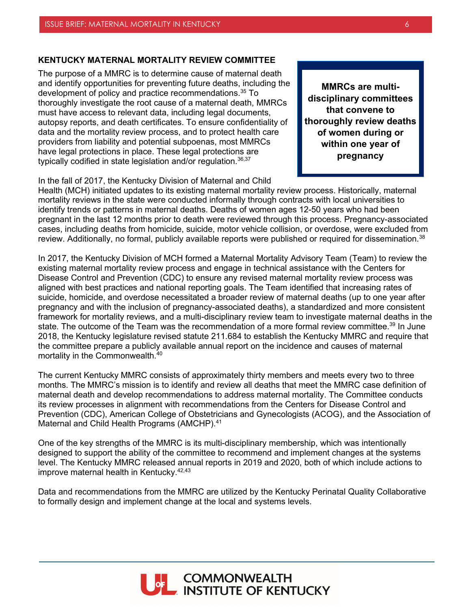#### **KENTUCKY MATERNAL MORTALITY REVIEW COMMITTEE**

The purpose of a MMRC is to determine cause of maternal death and identify opportunities for preventing future deaths, including the development of policy and practice recommendations.35 To thoroughly investigate the root cause of a maternal death, MMRCs must have access to relevant data, including legal documents, autopsy reports, and death certificates. To ensure confidentiality of data and the mortality review process, and to protect health care providers from liability and potential subpoenas, most MMRCs have legal protections in place. These legal protections are typically codified in state legislation and/or regulation. $^{36,37}$ 

**MMRCs are multidisciplinary committees that convene to thoroughly review deaths of women during or within one year of pregnancy**

In the fall of 2017, the Kentucky Division of Maternal and Child

Health (MCH) initiated updates to its existing maternal mortality review process. Historically, maternal mortality reviews in the state were conducted informally through contracts with local universities to identify trends or patterns in maternal deaths. Deaths of women ages 12-50 years who had been pregnant in the last 12 months prior to death were reviewed through this process. Pregnancy-associated cases, including deaths from homicide, suicide, motor vehicle collision, or overdose, were excluded from review. Additionally, no formal, publicly available reports were published or required for dissemination.<sup>38</sup>

In 2017, the Kentucky Division of MCH formed a Maternal Mortality Advisory Team (Team) to review the existing maternal mortality review process and engage in technical assistance with the Centers for Disease Control and Prevention (CDC) to ensure any revised maternal mortality review process was aligned with best practices and national reporting goals. The Team identified that increasing rates of suicide, homicide, and overdose necessitated a broader review of maternal deaths (up to one year after pregnancy and with the inclusion of pregnancy-associated deaths), a standardized and more consistent framework for mortality reviews, and a multi-disciplinary review team to investigate maternal deaths in the state. The outcome of the Team was the recommendation of a more formal review committee.<sup>39</sup> In June 2018, the Kentucky legislature revised statute 211.684 to establish the Kentucky MMRC and require that the committee prepare a publicly available annual report on the incidence and causes of maternal mortality in the Commonwealth.40

The current Kentucky MMRC consists of approximately thirty members and meets every two to three months. The MMRC's mission is to identify and review all deaths that meet the MMRC case definition of maternal death and develop recommendations to address maternal mortality. The Committee conducts its review processes in alignment with recommendations from the Centers for Disease Control and Prevention (CDC), American College of Obstetricians and Gynecologists (ACOG), and the Association of Maternal and Child Health Programs (AMCHP).<sup>41</sup>

One of the key strengths of the MMRC is its multi-disciplinary membership, which was intentionally designed to support the ability of the committee to recommend and implement changes at the systems level. The Kentucky MMRC released annual reports in 2019 and 2020, both of which include actions to improve maternal health in Kentucky. 42,43

Data and recommendations from the MMRC are utilized by the Kentucky Perinatal Quality Collaborative to formally design and implement change at the local and systems levels.

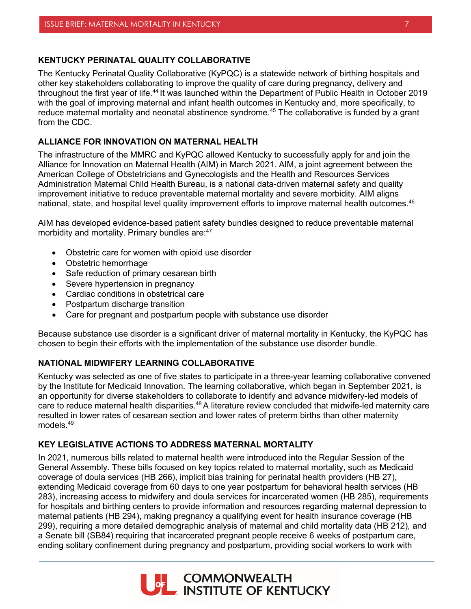#### **KENTUCKY PERINATAL QUALITY COLLABORATIVE**

The Kentucky Perinatal Quality Collaborative (KyPQC) is a statewide network of birthing hospitals and other key stakeholders collaborating to improve the quality of care during pregnancy, delivery and throughout the first year of life.44 It was launched within the Department of Public Health in October 2019 with the goal of improving maternal and infant health outcomes in Kentucky and, more specifically, to reduce maternal mortality and neonatal abstinence syndrome. <sup>45</sup> The collaborative is funded by a grant from the CDC.

#### **ALLIANCE FOR INNOVATION ON MATERNAL HEALTH**

The infrastructure of the MMRC and KyPQC allowed Kentucky to successfully apply for and join the Alliance for Innovation on Maternal Health (AIM) in March 2021. AIM, a joint agreement between the American College of Obstetricians and Gynecologists and the Health and Resources Services Administration Maternal Child Health Bureau, is a national data-driven maternal safety and quality improvement initiative to reduce preventable maternal mortality and severe morbidity. AIM aligns national, state, and hospital level quality improvement efforts to improve maternal health outcomes.<sup>46</sup>

AIM has developed evidence-based patient safety bundles designed to reduce preventable maternal morbidity and mortality. Primary bundles are:<sup>47</sup>

- Obstetric care for women with opioid use disorder
- Obstetric hemorrhage
- Safe reduction of primary cesarean birth
- Severe hypertension in pregnancy
- Cardiac conditions in obstetrical care
- Postpartum discharge transition
- Care for pregnant and postpartum people with substance use disorder

Because substance use disorder is a significant driver of maternal mortality in Kentucky, the KyPQC has chosen to begin their efforts with the implementation of the substance use disorder bundle.

#### **NATIONAL MIDWIFERY LEARNING COLLABORATIVE**

Kentucky was selected as one of five states to participate in a three-year learning collaborative convened by the Institute for Medicaid Innovation. The learning collaborative, which began in September 2021, is an opportunity for diverse stakeholders to collaborate to identify and advance midwifery-led models of care to reduce maternal health disparities.<sup>48</sup> A literature review concluded that midwife-led maternity care resulted in lower rates of cesarean section and lower rates of preterm births than other maternity models<sup>49</sup>

#### **KEY LEGISLATIVE ACTIONS TO ADDRESS MATERNAL MORTALITY**

In 2021, numerous bills related to maternal health were introduced into the Regular Session of the General Assembly. These bills focused on key topics related to maternal mortality, such as Medicaid coverage of doula services (HB 266), implicit bias training for perinatal health providers (HB 27), extending Medicaid coverage from 60 days to one year postpartum for behavioral health services (HB 283), increasing access to midwifery and doula services for incarcerated women (HB 285), requirements for hospitals and birthing centers to provide information and resources regarding maternal depression to maternal patients (HB 294), making pregnancy a qualifying event for health insurance coverage (HB 299), requiring a more detailed demographic analysis of maternal and child mortality data (HB 212), and a Senate bill (SB84) requiring that incarcerated pregnant people receive 6 weeks of postpartum care, ending solitary confinement during pregnancy and postpartum, providing social workers to work with

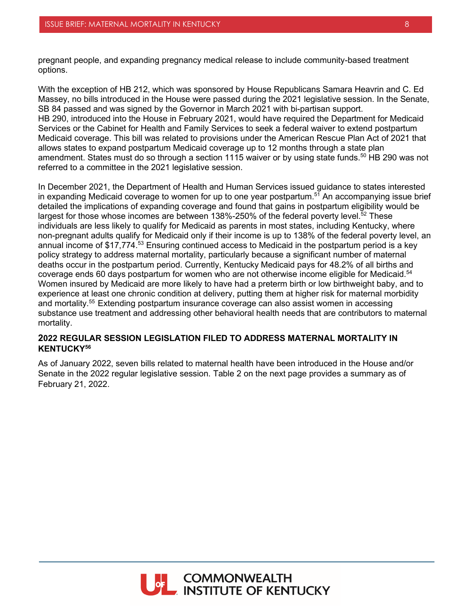pregnant people, and expanding pregnancy medical release to include community-based treatment options.

With the exception of HB 212, which was sponsored by House Republicans Samara Heavrin and C. Ed Massey, no bills introduced in the House were passed during the 2021 legislative session. In the Senate, SB 84 passed and was signed by the Governor in March 2021 with bi-partisan support. HB 290, introduced into the House in February 2021, would have required the Department for Medicaid Services or the Cabinet for Health and Family Services to seek a federal waiver to extend postpartum Medicaid coverage. This bill was related to provisions under the American Rescue Plan Act of 2021 that allows states to expand postpartum Medicaid coverage up to 12 months through a state plan amendment. States must do so through a section 1115 waiver or by using state funds.<sup>50</sup> HB 290 was not referred to a committee in the 2021 legislative session.

In December 2021, the Department of Health and Human Services issued guidance to states interested in expanding Medicaid coverage to women for up to one year postpartum. <sup>51</sup> An accompanying issue brief detailed the implications of expanding coverage and found that gains in postpartum eligibility would be largest for those whose incomes are between 138%-250% of the federal poverty level.<sup>52</sup> These individuals are less likely to qualify for Medicaid as parents in most states, including Kentucky, where non-pregnant adults qualify for Medicaid only if their income is up to 138% of the federal poverty level, an annual income of \$17,774.<sup>53</sup> Ensuring continued access to Medicaid in the postpartum period is a key policy strategy to address maternal mortality, particularly because a significant number of maternal deaths occur in the postpartum period. Currently, Kentucky Medicaid pays for 48.2% of all births and coverage ends 60 days postpartum for women who are not otherwise income eligible for Medicaid. 54 Women insured by Medicaid are more likely to have had a preterm birth or low birthweight baby, and to experience at least one chronic condition at delivery, putting them at higher risk for maternal morbidity and mortality.<sup>55</sup> Extending postpartum insurance coverage can also assist women in accessing substance use treatment and addressing other behavioral health needs that are contributors to maternal mortality.

#### **2022 REGULAR SESSION LEGISLATION FILED TO ADDRESS MATERNAL MORTALITY IN KENTUCKY56**

As of January 2022, seven bills related to maternal health have been introduced in the House and/or Senate in the 2022 regular legislative session. Table 2 on the next page provides a summary as of February 21, 2022.

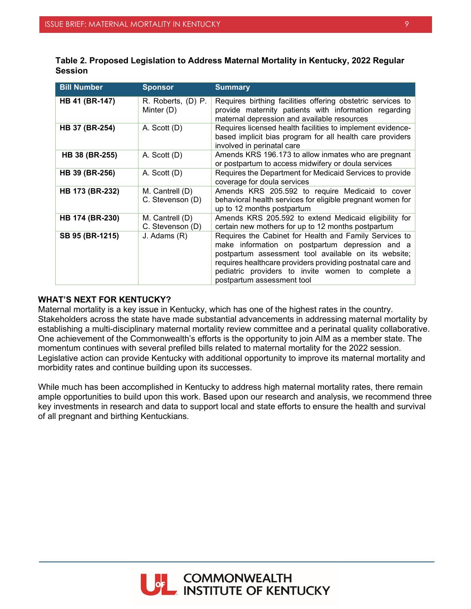| <b>Bill Number</b>    | <b>Sponsor</b>                      | <b>Summary</b>                                                                                                                                                                                                                                                                                                     |
|-----------------------|-------------------------------------|--------------------------------------------------------------------------------------------------------------------------------------------------------------------------------------------------------------------------------------------------------------------------------------------------------------------|
| <b>HB 41 (BR-147)</b> | R. Roberts, (D) P.<br>Minter (D)    | Requires birthing facilities offering obstetric services to<br>provide maternity patients with information regarding<br>maternal depression and available resources                                                                                                                                                |
| HB 37 (BR-254)        | A. Scott (D)                        | Requires licensed health facilities to implement evidence-<br>based implicit bias program for all health care providers<br>involved in perinatal care                                                                                                                                                              |
| <b>HB 38 (BR-255)</b> | A. Scott (D)                        | Amends KRS 196.173 to allow inmates who are pregnant<br>or postpartum to access midwifery or doula services                                                                                                                                                                                                        |
| HB 39 (BR-256)        | A. Scott (D)                        | Requires the Department for Medicaid Services to provide<br>coverage for doula services                                                                                                                                                                                                                            |
| HB 173 (BR-232)       | M. Cantrell (D)<br>C. Stevenson (D) | Amends KRS 205.592 to require Medicaid to cover<br>behavioral health services for eligible pregnant women for<br>up to 12 months postpartum                                                                                                                                                                        |
| HB 174 (BR-230)       | M. Cantrell (D)<br>C. Stevenson (D) | Amends KRS 205.592 to extend Medicaid eligibility for<br>certain new mothers for up to 12 months postpartum                                                                                                                                                                                                        |
| SB 95 (BR-1215)       | J. Adams (R)                        | Requires the Cabinet for Health and Family Services to<br>make information on postpartum depression and a<br>postpartum assessment tool available on its website;<br>requires healthcare providers providing postnatal care and<br>pediatric providers to invite women to complete a<br>postpartum assessment tool |

| Table 2. Proposed Legislation to Address Maternal Mortality in Kentucky, 2022 Regular |  |
|---------------------------------------------------------------------------------------|--|
| <b>Session</b>                                                                        |  |

#### **WHAT'S NEXT FOR KENTUCKY?**

Maternal mortality is a key issue in Kentucky, which has one of the highest rates in the country. Stakeholders across the state have made substantial advancements in addressing maternal mortality by establishing a multi-disciplinary maternal mortality review committee and a perinatal quality collaborative. One achievement of the Commonwealth's efforts is the opportunity to join AIM as a member state. The momentum continues with several prefiled bills related to maternal mortality for the 2022 session. Legislative action can provide Kentucky with additional opportunity to improve its maternal mortality and morbidity rates and continue building upon its successes.

While much has been accomplished in Kentucky to address high maternal mortality rates, there remain ample opportunities to build upon this work. Based upon our research and analysis, we recommend three key investments in research and data to support local and state efforts to ensure the health and survival of all pregnant and birthing Kentuckians.

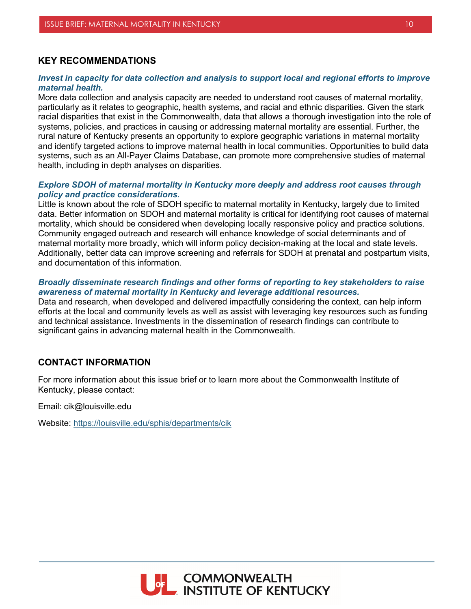## **KEY RECOMMENDATIONS**

#### *Invest in capacity for data collection and analysis to support local and regional efforts to improve maternal health.*

More data collection and analysis capacity are needed to understand root causes of maternal mortality, particularly as it relates to geographic, health systems, and racial and ethnic disparities. Given the stark racial disparities that exist in the Commonwealth, data that allows a thorough investigation into the role of systems, policies, and practices in causing or addressing maternal mortality are essential. Further, the rural nature of Kentucky presents an opportunity to explore geographic variations in maternal mortality and identify targeted actions to improve maternal health in local communities. Opportunities to build data systems, such as an All-Payer Claims Database, can promote more comprehensive studies of maternal health, including in depth analyses on disparities.

#### *Explore SDOH of maternal mortality in Kentucky more deeply and address root causes through policy and practice considerations.*

Little is known about the role of SDOH specific to maternal mortality in Kentucky, largely due to limited data. Better information on SDOH and maternal mortality is critical for identifying root causes of maternal mortality, which should be considered when developing locally responsive policy and practice solutions. Community engaged outreach and research will enhance knowledge of social determinants and of maternal mortality more broadly, which will inform policy decision-making at the local and state levels. Additionally, better data can improve screening and referrals for SDOH at prenatal and postpartum visits, and documentation of this information.

#### *Broadly disseminate research findings and other forms of reporting to key stakeholders to raise awareness of maternal mortality in Kentucky and leverage additional resources.*

Data and research, when developed and delivered impactfully considering the context, can help inform efforts at the local and community levels as well as assist with leveraging key resources such as funding and technical assistance. Investments in the dissemination of research findings can contribute to significant gains in advancing maternal health in the Commonwealth.

#### **CONTACT INFORMATION**

For more information about this issue brief or to learn more about the Commonwealth Institute of Kentucky, please contact:

Email: cik@louisville.edu

Website:<https://louisville.edu/sphis/departments/cik>

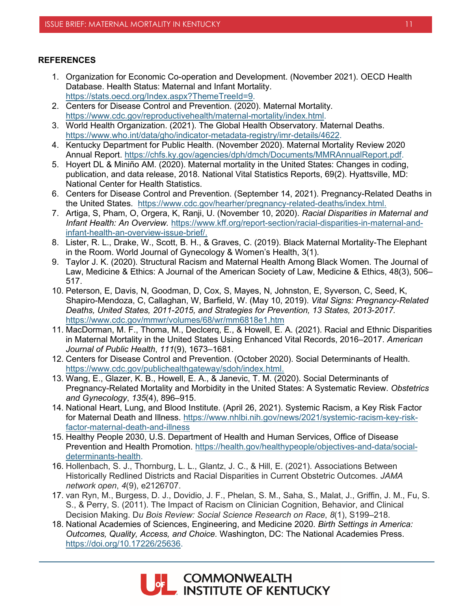#### **REFERENCES**

- 1. Organization for Economic Co-operation and Development. (November 2021). OECD Health Database. Health Status: Maternal and Infant Mortality. [https://stats.oecd.org/Index.aspx?ThemeTreeId=9.](https://stats.oecd.org/Index.aspx?ThemeTreeId=9)
- 2. Centers for Disease Control and Prevention. (2020). Maternal Mortality. [https://www.cdc.gov/reproductivehealth/maternal-mortality/index.html.](https://www.cdc.gov/reproductivehealth/maternal-mortality/index.html)
- 3. World Health Organization. (2021). The Global Health Observatory. Maternal Deaths. [https://www.who.int/data/gho/indicator-metadata-registry/imr-details/4622.](https://www.who.int/data/gho/indicator-metadata-registry/imr-details/4622)
- 4. Kentucky Department for Public Health. (November 2020). Maternal Mortality Review 2020 Annual Report. [https://chfs.ky.gov/agencies/dph/dmch/Documents/MMRAnnualReport.pdf.](https://chfs.ky.gov/agencies/dph/dmch/Documents/MMRAnnualReport.pdf)
- 5. Hoyert DL & Miniño AM. (2020). Maternal mortality in the United States: Changes in coding, publication, and data release, 2018. National Vital Statistics Reports, 69(2). Hyattsville, MD: National Center for Health Statistics.
- 6. Centers for Disease Control and Prevention. (September 14, 2021). Pregnancy-Related Deaths in the United States. [https://www.cdc.gov/hearher/pregnancy-related-deaths/index.html.](https://www.cdc.gov/hearher/pregnancy-related-deaths/index.html)
- 7. Artiga, S, Pham, O, Orgera, K, Ranji, U. (November 10, 2020). *Racial Disparities in Maternal and Infant Health: An Overview.* [https://www.kff.org/report-section/racial-disparities-in-maternal-and](https://www.kff.org/report-section/racial-disparities-in-maternal-and-infant-health-an-overview-issue-brief/)[infant-health-an-overview-issue-brief/.](https://www.kff.org/report-section/racial-disparities-in-maternal-and-infant-health-an-overview-issue-brief/)
- 8. Lister, R. L., Drake, W., Scott, B. H., & Graves, C. (2019). Black Maternal Mortality-The Elephant in the Room. World Journal of Gynecology & Women's Health, 3(1).
- 9. Taylor J. K. (2020). Structural Racism and Maternal Health Among Black Women. The Journal of Law, Medicine & Ethics: A Journal of the American Society of Law, Medicine & Ethics, 48(3), 506– 517.
- 10. Peterson, E, Davis, N, Goodman, D, Cox, S, Mayes, N, Johnston, E, Syverson, C, Seed, K, Shapiro-Mendoza, C, Callaghan, W, Barfield, W. (May 10, 2019). *Vital Signs: Pregnancy-Related Deaths, United States, 2011-2015, and Strategies for Prevention, 13 States, 2013-2017.* <https://www.cdc.gov/mmwr/volumes/68/wr/mm6818e1.htm>
- 11. MacDorman, M. F., Thoma, M., Declcerq, E., & Howell, E. A. (2021). Racial and Ethnic Disparities in Maternal Mortality in the United States Using Enhanced Vital Records, 2016‒2017. *American Journal of Public Health*, *111*(9), 1673–1681.
- 12. Centers for Disease Control and Prevention. (October 2020). Social Determinants of Health. [https://www.cdc.gov/publichealthgateway/sdoh/index.html.](https://www.cdc.gov/publichealthgateway/sdoh/index.html)
- 13. Wang, E., Glazer, K. B., Howell, E. A., & Janevic, T. M. (2020). Social Determinants of Pregnancy-Related Mortality and Morbidity in the United States: A Systematic Review. *Obstetrics and Gynecology*, *135*(4), 896–915.
- 14. National Heart, Lung, and Blood Institute. (April 26, 2021). Systemic Racism, a Key Risk Factor for Maternal Death and Illness. [https://www.nhlbi.nih.gov/news/2021/systemic-racism-key-risk](https://www.nhlbi.nih.gov/news/2021/systemic-racism-key-risk-factor-maternal-death-and-illness)[factor-maternal-death-and-illness](https://www.nhlbi.nih.gov/news/2021/systemic-racism-key-risk-factor-maternal-death-and-illness)
- 15. Healthy People 2030, U.S. Department of Health and Human Services, Office of Disease Prevention and Health Promotion. [https://health.gov/healthypeople/objectives-and-data/social](https://health.gov/healthypeople/objectives-and-data/social-determinants-health)[determinants-health.](https://health.gov/healthypeople/objectives-and-data/social-determinants-health)
- 16. Hollenbach, S. J., Thornburg, L. L., Glantz, J. C., & Hill, E. (2021). Associations Between Historically Redlined Districts and Racial Disparities in Current Obstetric Outcomes. *JAMA network open*, *4*(9), e2126707.
- 17. van Ryn, M., Burgess, D. J., Dovidio, J. F., Phelan, S. M., Saha, S., Malat, J., Griffin, J. M., Fu, S. S., & Perry, S. (2011). The Impact of Racism on Clinician Cognition, Behavior, and Clinical Decision Making. D*u Bois Review: Social Science Research on Race*, *8*(1), S199–218.
- 18. National Academies of Sciences, Engineering, and Medicine 2020. *Birth Settings in America: Outcomes, Quality, Access, and Choice.* Washington, DC: The National Academies Press. [https://doi.org/10.17226/25636.](https://doi.org/10.17226/25636)

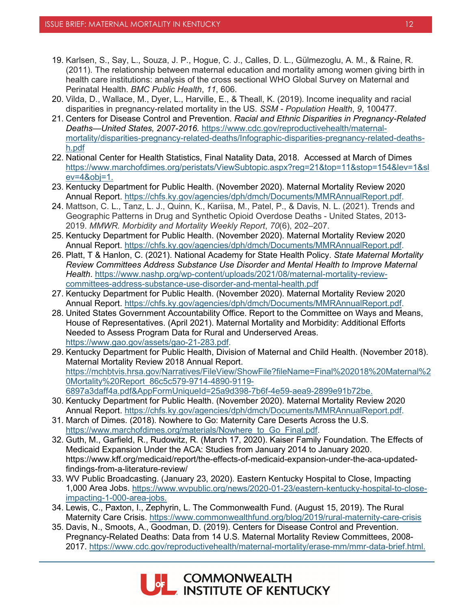- 19. Karlsen, S., Say, L., Souza, J. P., Hogue, C. J., Calles, D. L., Gülmezoglu, A. M., & Raine, R. (2011). The relationship between maternal education and mortality among women giving birth in health care institutions: analysis of the cross sectional WHO Global Survey on Maternal and Perinatal Health. *BMC Public Health*, *11*, 606.
- 20. Vilda, D., Wallace, M., Dyer, L., Harville, E., & Theall, K. (2019). Income inequality and racial disparities in pregnancy-related mortality in the US. *SSM - Population Health*, *9*, 100477.
- 21. Centers for Disease Control and Prevention. *Racial and Ethnic Disparities in Pregnancy-Related Deaths—United States, 2007-2016.* [https://www.cdc.gov/reproductivehealth/maternal](https://www.cdc.gov/reproductivehealth/maternal-mortality/disparities-pregnancy-related-deaths/Infographic-disparities-pregnancy-related-deaths-h.pdf)[mortality/disparities-pregnancy-related-deaths/Infographic-disparities-pregnancy-related-deaths](https://www.cdc.gov/reproductivehealth/maternal-mortality/disparities-pregnancy-related-deaths/Infographic-disparities-pregnancy-related-deaths-h.pdf)[h.pdf](https://www.cdc.gov/reproductivehealth/maternal-mortality/disparities-pregnancy-related-deaths/Infographic-disparities-pregnancy-related-deaths-h.pdf)
- 22. National Center for Health Statistics, Final Natality Data, 2018. Accessed at March of Dimes [https://www.marchofdimes.org/peristats/ViewSubtopic.aspx?reg=21&top=11&stop=154&lev=1&sl](https://www.marchofdimes.org/peristats/ViewSubtopic.aspx?reg=21&top=11&stop=154&lev=1&slev=4&obj=1) [ev=4&obj=1.](https://www.marchofdimes.org/peristats/ViewSubtopic.aspx?reg=21&top=11&stop=154&lev=1&slev=4&obj=1)
- 23. Kentucky Department for Public Health. (November 2020). Maternal Mortality Review 2020 Annual Report. [https://chfs.ky.gov/agencies/dph/dmch/Documents/MMRAnnualReport.pdf.](https://chfs.ky.gov/agencies/dph/dmch/Documents/MMRAnnualReport.pdf)
- 24. Mattson, C. L., Tanz, L. J., Quinn, K., Kariisa, M., Patel, P., & Davis, N. L. (2021). Trends and Geographic Patterns in Drug and Synthetic Opioid Overdose Deaths - United States, 2013- 2019. *MMWR. Morbidity and Mortality Weekly Report*, *70*(6), 202–207.
- 25. Kentucky Department for Public Health. (November 2020). Maternal Mortality Review 2020 Annual Report. [https://chfs.ky.gov/agencies/dph/dmch/Documents/MMRAnnualReport.pdf.](https://chfs.ky.gov/agencies/dph/dmch/Documents/MMRAnnualReport.pdf)
- 26. Platt, T & Hanlon, C. (2021). National Academy for State Health Policy. *State Maternal Mortality Review Committees Address Substance Use Disorder and Mental Health to Improve Maternal Health*. [https://www.nashp.org/wp-content/uploads/2021/08/maternal-mortality-review](https://www.nashp.org/wp-content/uploads/2021/08/maternal-mortality-review-committees-address-substance-use-disorder-and-mental-health.pdf)[committees-address-substance-use-disorder-and-mental-health.pdf](https://www.nashp.org/wp-content/uploads/2021/08/maternal-mortality-review-committees-address-substance-use-disorder-and-mental-health.pdf)
- 27. Kentucky Department for Public Health. (November 2020). Maternal Mortality Review 2020 Annual Report. [https://chfs.ky.gov/agencies/dph/dmch/Documents/MMRAnnualReport.pdf.](https://chfs.ky.gov/agencies/dph/dmch/Documents/MMRAnnualReport.pdf)
- 28. United States Government Accountability Office. Report to the Committee on Ways and Means, House of Representatives. (April 2021). Maternal Mortality and Morbidity: Additional Efforts Needed to Assess Program Data for Rural and Underserved Areas. [https://www.gao.gov/assets/gao-21-283.pdf.](https://www.gao.gov/assets/gao-21-283.pdf)
- 29. Kentucky Department for Public Health, Division of Maternal and Child Health. (November 2018). Maternal Mortality Review 2018 Annual Report. [https://mchbtvis.hrsa.gov/Narratives/FileView/ShowFile?fileName=Final%202018%20Maternal%2](https://mchbtvis.hrsa.gov/Narratives/FileView/ShowFile?fileName=Final%202018%20Maternal%20Mortality%20Report_86c5c579-9714-4890-9119-6897a3daff4a.pdf&AppFormUniqueId=25a9d398-7b6f-4e59-aea9-2899e91b72be) [0Mortality%20Report\\_86c5c579-9714-4890-9119-](https://mchbtvis.hrsa.gov/Narratives/FileView/ShowFile?fileName=Final%202018%20Maternal%20Mortality%20Report_86c5c579-9714-4890-9119-6897a3daff4a.pdf&AppFormUniqueId=25a9d398-7b6f-4e59-aea9-2899e91b72be) [6897a3daff4a.pdf&AppFormUniqueId=25a9d398-7b6f-4e59-aea9-2899e91b72be.](https://mchbtvis.hrsa.gov/Narratives/FileView/ShowFile?fileName=Final%202018%20Maternal%20Mortality%20Report_86c5c579-9714-4890-9119-6897a3daff4a.pdf&AppFormUniqueId=25a9d398-7b6f-4e59-aea9-2899e91b72be)
- 30. Kentucky Department for Public Health. (November 2020). Maternal Mortality Review 2020 Annual Report. [https://chfs.ky.gov/agencies/dph/dmch/Documents/MMRAnnualReport.pdf.](https://chfs.ky.gov/agencies/dph/dmch/Documents/MMRAnnualReport.pdf)
- 31. March of Dimes. (2018). Nowhere to Go: Maternity Care Deserts Across the U.S. [https://www.marchofdimes.org/materials/Nowhere\\_to\\_Go\\_Final.pdf.](https://www.marchofdimes.org/materials/Nowhere_to_Go_Final.pdf)
- 32. Guth, M., Garfield, R., Rudowitz, R. (March 17, 2020). Kaiser Family Foundation. The Effects of Medicaid Expansion Under the ACA: Studies from January 2014 to January 2020. https://www.kff.org/medicaid/report/the-effects-of-medicaid-expansion-under-the-aca-updatedfindings-from-a-literature-review/
- 33. WV Public Broadcasting. (January 23, 2020). Eastern Kentucky Hospital to Close, Impacting 1,000 Area Jobs. [https://www.wvpublic.org/news/2020-01-23/eastern-kentucky-hospital-to-close](https://www.wvpublic.org/news/2020-01-23/eastern-kentucky-hospital-to-close-impacting-1-000-area-jobs)[impacting-1-000-area-jobs.](https://www.wvpublic.org/news/2020-01-23/eastern-kentucky-hospital-to-close-impacting-1-000-area-jobs)
- 34. Lewis, C., Paxton, I., Zephyrin, L. The Commonwealth Fund. (August 15, 2019). The Rural Maternity Care Crisis.<https://www.commonwealthfund.org/blog/2019/rural-maternity-care-crisis>
- 35. Davis, N., Smoots, A., Goodman, D. (2019). Centers for Disease Control and Prevention. Pregnancy-Related Deaths: Data from 14 U.S. Maternal Mortality Review Committees, 2008- 2017. [https://www.cdc.gov/reproductivehealth/maternal-mortality/erase-mm/mmr-data-brief.html.](https://www.cdc.gov/reproductivehealth/maternal-mortality/erase-mm/mmr-data-brief.html)

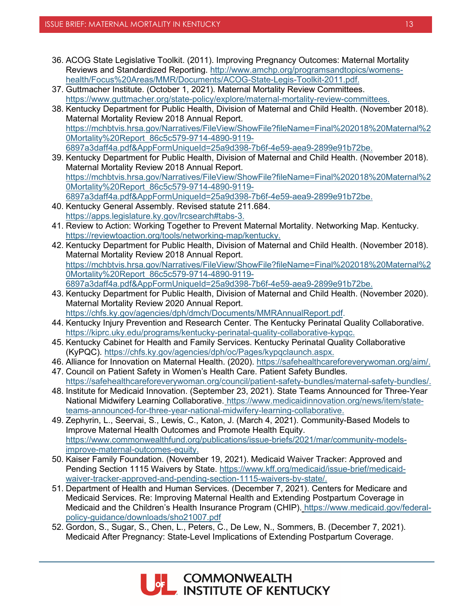- 36. ACOG State Legislative Toolkit. (2011). Improving Pregnancy Outcomes: Maternal Mortality Reviews and Standardized Reporting. [http://www.amchp.org/programsandtopics/womens](http://www.amchp.org/programsandtopics/womens-health/Focus%20Areas/MMR/Documents/ACOG-State-Legis-Toolkit-2011.pdf)[health/Focus%20Areas/MMR/Documents/ACOG-State-Legis-Toolkit-2011.pdf.](http://www.amchp.org/programsandtopics/womens-health/Focus%20Areas/MMR/Documents/ACOG-State-Legis-Toolkit-2011.pdf)
- 37. Guttmacher Institute. (October 1, 2021). Maternal Mortality Review Committees. [https://www.guttmacher.org/state-policy/explore/maternal-mortality-review-committees.](https://www.guttmacher.org/state-policy/explore/maternal-mortality-review-committees)
- 38. Kentucky Department for Public Health, Division of Maternal and Child Health. (November 2018). Maternal Mortality Review 2018 Annual Report. [https://mchbtvis.hrsa.gov/Narratives/FileView/ShowFile?fileName=Final%202018%20Maternal%2](https://mchbtvis.hrsa.gov/Narratives/FileView/ShowFile?fileName=Final%202018%20Maternal%20Mortality%20Report_86c5c579-9714-4890-9119-6897a3daff4a.pdf&AppFormUniqueId=25a9d398-7b6f-4e59-aea9-2899e91b72be) [0Mortality%20Report\\_86c5c579-9714-4890-9119-](https://mchbtvis.hrsa.gov/Narratives/FileView/ShowFile?fileName=Final%202018%20Maternal%20Mortality%20Report_86c5c579-9714-4890-9119-6897a3daff4a.pdf&AppFormUniqueId=25a9d398-7b6f-4e59-aea9-2899e91b72be) [6897a3daff4a.pdf&AppFormUniqueId=25a9d398-7b6f-4e59-aea9-2899e91b72be.](https://mchbtvis.hrsa.gov/Narratives/FileView/ShowFile?fileName=Final%202018%20Maternal%20Mortality%20Report_86c5c579-9714-4890-9119-6897a3daff4a.pdf&AppFormUniqueId=25a9d398-7b6f-4e59-aea9-2899e91b72be)
- 39. Kentucky Department for Public Health, Division of Maternal and Child Health. (November 2018). Maternal Mortality Review 2018 Annual Report. [https://mchbtvis.hrsa.gov/Narratives/FileView/ShowFile?fileName=Final%202018%20Maternal%2](https://mchbtvis.hrsa.gov/Narratives/FileView/ShowFile?fileName=Final%202018%20Maternal%20Mortality%20Report_86c5c579-9714-4890-9119-6897a3daff4a.pdf&AppFormUniqueId=25a9d398-7b6f-4e59-aea9-2899e91b72be) [0Mortality%20Report\\_86c5c579-9714-4890-9119-](https://mchbtvis.hrsa.gov/Narratives/FileView/ShowFile?fileName=Final%202018%20Maternal%20Mortality%20Report_86c5c579-9714-4890-9119-6897a3daff4a.pdf&AppFormUniqueId=25a9d398-7b6f-4e59-aea9-2899e91b72be) [6897a3daff4a.pdf&AppFormUniqueId=25a9d398-7b6f-4e59-aea9-2899e91b72be.](https://mchbtvis.hrsa.gov/Narratives/FileView/ShowFile?fileName=Final%202018%20Maternal%20Mortality%20Report_86c5c579-9714-4890-9119-6897a3daff4a.pdf&AppFormUniqueId=25a9d398-7b6f-4e59-aea9-2899e91b72be)
- 40. Kentucky General Assembly. Revised statute 211.684. [https://apps.legislature.ky.gov/lrcsearch#tabs-3.](https://apps.legislature.ky.gov/lrcsearch#tabs-3)
- 41. Review to Action: Working Together to Prevent Maternal Mortality. Networking Map. Kentucky. [https://reviewtoaction.org/tools/networking-map/kentucky.](https://reviewtoaction.org/tools/networking-map/kentucky)
- 42. Kentucky Department for Public Health, Division of Maternal and Child Health. (November 2018). Maternal Mortality Review 2018 Annual Report. [https://mchbtvis.hrsa.gov/Narratives/FileView/ShowFile?fileName=Final%202018%20Maternal%2](https://mchbtvis.hrsa.gov/Narratives/FileView/ShowFile?fileName=Final%202018%20Maternal%20Mortality%20Report_86c5c579-9714-4890-9119-6897a3daff4a.pdf&AppFormUniqueId=25a9d398-7b6f-4e59-aea9-2899e91b72be) [0Mortality%20Report\\_86c5c579-9714-4890-9119-](https://mchbtvis.hrsa.gov/Narratives/FileView/ShowFile?fileName=Final%202018%20Maternal%20Mortality%20Report_86c5c579-9714-4890-9119-6897a3daff4a.pdf&AppFormUniqueId=25a9d398-7b6f-4e59-aea9-2899e91b72be) [6897a3daff4a.pdf&AppFormUniqueId=25a9d398-7b6f-4e59-aea9-2899e91b72be.](https://mchbtvis.hrsa.gov/Narratives/FileView/ShowFile?fileName=Final%202018%20Maternal%20Mortality%20Report_86c5c579-9714-4890-9119-6897a3daff4a.pdf&AppFormUniqueId=25a9d398-7b6f-4e59-aea9-2899e91b72be)
- 43. Kentucky Department for Public Health, Division of Maternal and Child Health. (November 2020). Maternal Mortality Review 2020 Annual Report. [https://chfs.ky.gov/agencies/dph/dmch/Documents/MMRAnnualReport.pdf.](https://chfs.ky.gov/agencies/dph/dmch/Documents/MMRAnnualReport.pdf)
- 44. Kentucky Injury Prevention and Research Center. The Kentucky Perinatal Quality Collaborative. [https://kiprc.uky.edu/programs/kentucky-perinatal-quality-collaborative-kypqc.](https://kiprc.uky.edu/programs/kentucky-perinatal-quality-collaborative-kypqc)
- 45. Kentucky Cabinet for Health and Family Services. Kentucky Perinatal Quality Collaborative (KyPQC). [https://chfs.ky.gov/agencies/dph/oc/Pages/kypqclaunch.aspx.](https://chfs.ky.gov/agencies/dph/oc/Pages/kypqclaunch.aspx)
- 46. Alliance for Innovation on Maternal Health. (2020). [https://safehealthcareforeverywoman.org/aim/.](https://safehealthcareforeverywoman.org/aim/)
- 47. Council on Patient Safety in Women's Health Care. Patient Safety Bundles. [https://safehealthcareforeverywoman.org/council/patient-safety-bundles/maternal-safety-bundles/.](https://safehealthcareforeverywoman.org/council/patient-safety-bundles/maternal-safety-bundles/)
- 48. Institute for Medicaid Innovation. (September 23, 2021). State Teams Announced for Three-Year National Midwifery Learning Collaborative. https://www.medicaidinnovation.org/news/item/stateteams-announced-for-three-year-national-midwifery-learning-collaborative.
- 49. Zephyrin, L., Seervai, S., Lewis, C., Katon, J. (March 4, 2021). Community-Based Models to Improve Maternal Health Outcomes and Promote Health Equity. [https://www.commonwealthfund.org/publications/issue-briefs/2021/mar/community-models](https://www.commonwealthfund.org/publications/issue-briefs/2021/mar/community-models-improve-maternal-outcomes-equity)[improve-maternal-outcomes-equity.](https://www.commonwealthfund.org/publications/issue-briefs/2021/mar/community-models-improve-maternal-outcomes-equity)
- 50. Kaiser Family Foundation. (November 19, 2021). Medicaid Waiver Tracker: Approved and Pending Section 1115 Waivers by State. [https://www.kff.org/medicaid/issue-brief/medicaid](https://www.kff.org/medicaid/issue-brief/medicaid-waiver-tracker-approved-and-pending-section-1115-waivers-by-state/)[waiver-tracker-approved-and-pending-section-1115-waivers-by-state/.](https://www.kff.org/medicaid/issue-brief/medicaid-waiver-tracker-approved-and-pending-section-1115-waivers-by-state/)
- 51. Department of Health and Human Services. (December 7, 2021). Centers for Medicare and Medicaid Services. Re: Improving Maternal Health and Extending Postpartum Coverage in Medicaid and the Children's Health Insurance Program (CHIP). [https://www.medicaid.gov/federal](https://www.medicaid.gov/federal-policy-guidance/downloads/sho21007.pdf)[policy-guidance/downloads/sho21007.pdf](https://www.medicaid.gov/federal-policy-guidance/downloads/sho21007.pdf)
- 52. Gordon, S., Sugar, S., Chen, L., Peters, C., De Lew, N., Sommers, B. (December 7, 2021). Medicaid After Pregnancy: State-Level Implications of Extending Postpartum Coverage.